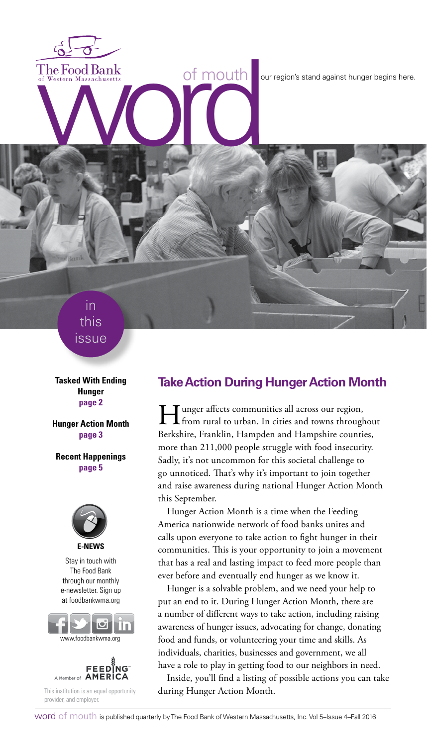The Food Bank<br>of Western Massachusetts<br>
With the Condition of Mouth<br>
The Condition of Mouth<br>
The Condition of Mouth<br>
The Condition of Mouth<br>
The Condition of Mouth<br>
The Condition of Mouth<br>
The Condition of Mouth<br>
The Condi

in this issue

**Tasked With Ending Hunger page 2**

**Hunger Action Month page 3**

**Recent Happenings page 5**



Stay in touch with The Food Bank through our monthly e-newsletter. Sign up at foodbankwma.org





This institution is an equal opportunity provider, and employer.

# **Take Action During Hunger Action Month**

If the unger affects communities all across our region,<br>from rural to urban. In cities and towns throughout Berkshire, Franklin, Hampden and Hampshire counties, more than 211,000 people struggle with food insecurity. Sadly, it's not uncommon for this societal challenge to go unnoticed. That's why it's important to join together and raise awareness during national Hunger Action Month this September.

Hunger Action Month is a time when the Feeding America nationwide network of food banks unites and calls upon everyone to take action to fight hunger in their communities. This is your opportunity to join a movement that has a real and lasting impact to feed more people than ever before and eventually end hunger as we know it.

Hunger is a solvable problem, and we need your help to put an end to it. During Hunger Action Month, there are a number of different ways to take action, including raising awareness of hunger issues, advocating for change, donating food and funds, or volunteering your time and skills. As individuals, charities, businesses and government, we all have a role to play in getting food to our neighbors in need.

Inside, you'll find a listing of possible actions you can take during Hunger Action Month.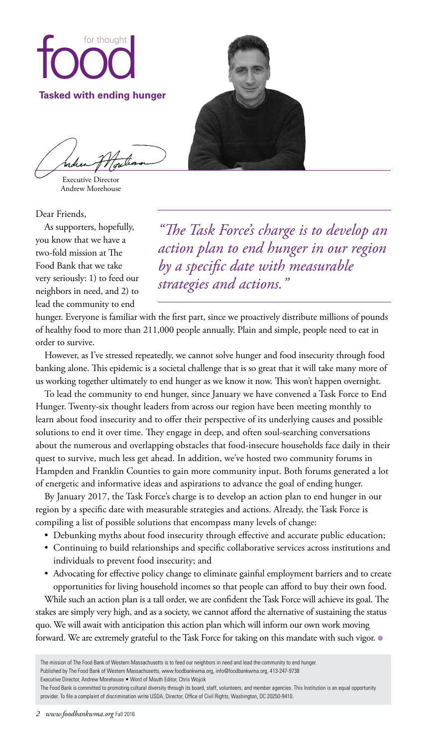

Executive Director Andrew Morehouse

Dear Friends,

As supporters, hopefully, you know that we have a two-fold mission at The Food Bank that we take very seriously: 1) to feed our neighbors in need, and 2) to lead the community to end



*"The Task Force's charge is to develop an action plan to end hunger in our region by a specific date with measurable strategies and actions."*

hunger. Everyone is familiar with the first part, since we proactively distribute millions of pounds of healthy food to more than 211,000 people annually. Plain and simple, people need to eat in order to survive.

However, as I've stressed repeatedly, we cannot solve hunger and food insecurity through food banking alone. This epidemic is a societal challenge that is so great that it will take many more of us working together ultimately to end hunger as we know it now. This won't happen overnight.

To lead the community to end hunger, since January we have convened a Task Force to End Hunger. Twenty-six thought leaders from across our region have been meeting monthly to learn about food insecurity and to offer their perspective of its underlying causes and possible solutions to end it over time. They engage in deep, and often soul-searching conversations about the numerous and overlapping obstacles that food-insecure households face daily in their quest to survive, much less get ahead. In addition, we've hosted two community forums in Hampden and Franklin Counties to gain more community input. Both forums generated a lot of energetic and informative ideas and aspirations to advance the goal of ending hunger.

By January 2017, the Task Force's charge is to develop an action plan to end hunger in our region by a specific date with measurable strategies and actions. Already, the Task Force is compiling a list of possible solutions that encompass many levels of change:

- Debunking myths about food insecurity through effective and accurate public education;
- • Continuing to build relationships and specific collaborative services across institutions and individuals to prevent food insecurity; and
- Advocating for effective policy change to eliminate gainful employment barriers and to create opportunities for living household incomes so that people can afford to buy their own food.

While such an action plan is a tall order, we are confident the Task Force will achieve its goal. The stakes are simply very high, and as a society, we cannot afford the alternative of sustaining the status quo. We will await with anticipation this action plan which will inform our own work moving forward. We are extremely grateful to the Task Force for taking on this mandate with such vigor.  $\bullet$ 

The mission of The Food Bank of Western Massachusetts is to feed our neighbors in need and lead the community to end hunger.

Published by The Food Bank of Western Massachusetts, www.foodbankwma.org, info@foodbankwma.org, 413-247-9738

Executive Director, Andrew Morehouse • Word of Mouth Editor, Chris Wojcik

The Food Bank is committed to promoting cultural diversity through its board, staff, volunteers, and member agencies. This Institution is an equal opportunity provider. To file a complaint of discrimination write USDA, Director, Office of Civil Rights, Washington, DC 20250-9410.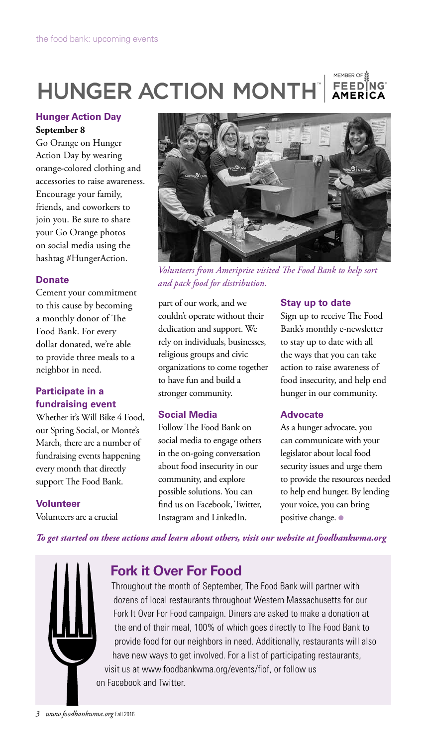### MEMBER OF **HUNGER ACTION MONTH** FEEDÎNG AMERİCA

### **Hunger Action Day September 8**

Go Orange on Hunger Action Day by wearing orange-colored clothing and accessories to raise awareness. Encourage your family, friends, and coworkers to join you. Be sure to share your Go Orange photos on social media using the hashtag #HungerAction.

# **Donate**

Cement your commitment to this cause by becoming a monthly donor of The Food Bank. For every dollar donated, we're able to provide three meals to a neighbor in need.

# **Participate in a fundraising event**

Whether it's Will Bike 4 Food, our Spring Social, or Monte's March, there are a number of fundraising events happening every month that directly support The Food Bank.

# **Volunteer**

Volunteers are a crucial



*Volunteers from Ameriprise visited The Food Bank to help sort and pack food for distribution.*

part of our work, and we couldn't operate without their dedication and support. We rely on individuals, businesses, religious groups and civic organizations to come together to have fun and build a stronger community.

# **Social Media**

Follow The Food Bank on social media to engage others in the on-going conversation about food insecurity in our community, and explore possible solutions. You can find us on Facebook, Twitter, Instagram and LinkedIn.

# **Stay up to date**

Sign up to receive The Food Bank's monthly e-newsletter to stay up to date with all the ways that you can take action to raise awareness of food insecurity, and help end hunger in our community.

# **Advocate**

As a hunger advocate, you can communicate with your legislator about local food security issues and urge them to provide the resources needed to help end hunger. By lending your voice, you can bring positive change. ●

*To get started on these actions and learn about others, visit our website at foodbankwma.org*



# **Fork it Over For Food**

Throughout the month of September, The Food Bank will partner with dozens of local restaurants throughout Western Massachusetts for our Fork It Over For Food campaign. Diners are asked to make a donation at the end of their meal, 100% of which goes directly to The Food Bank to provide food for our neighbors in need. Additionally, restaurants will also have new ways to get involved. For a list of participating restaurants, visit us at www.foodbankwma.org/events/fiof, or follow us on Facebook and Twitter.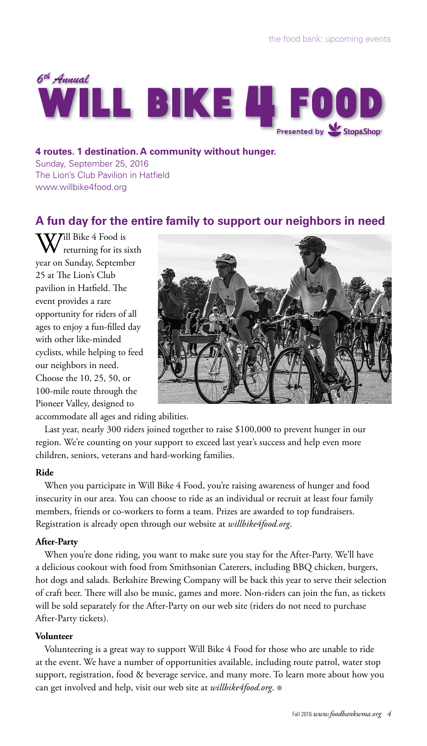

**4 routes. 1 destination. A community without hunger.** Sunday, September 25, 2016 The Lion's Club Pavilion in Hatfield www.willbike4food.org

# **A fun day for the entire family to support our neighbors in need**

W<sup>ill Bike 4</sup> Food is<br>
returning for its sixth year on Sunday, September 25 at The Lion's Club pavilion in Hatfield. The event provides a rare opportunity for riders of all ages to enjoy a fun-filled day with other like-minded cyclists, while helping to feed our neighbors in need. Choose the 10, 25, 50, or 100-mile route through the Pioneer Valley, designed to



accommodate all ages and riding abilities.

Last year, nearly 300 riders joined together to raise \$100,000 to prevent hunger in our region. We're counting on your support to exceed last year's success and help even more children, seniors, veterans and hard-working families.

### **Ride**

When you participate in Will Bike 4 Food, you're raising awareness of hunger and food insecurity in our area. You can choose to ride as an individual or recruit at least four family members, friends or co-workers to form a team. Prizes are awarded to top fundraisers. Registration is already open through our website at *willbike4food.org*.

### **After-Party**

When you're done riding, you want to make sure you stay for the After-Party. We'll have a delicious cookout with food from Smithsonian Caterers, including BBQ chicken, burgers, hot dogs and salads. Berkshire Brewing Company will be back this year to serve their selection of craft beer. There will also be music, games and more. Non-riders can join the fun, as tickets will be sold separately for the After-Party on our web site (riders do not need to purchase After-Party tickets).

### **Volunteer**

Volunteering is a great way to support Will Bike 4 Food for those who are unable to ride at the event. We have a number of opportunities available, including route patrol, water stop support, registration, food & beverage service, and many more. To learn more about how you can get involved and help, visit our web site at *willbike4food.org*. ●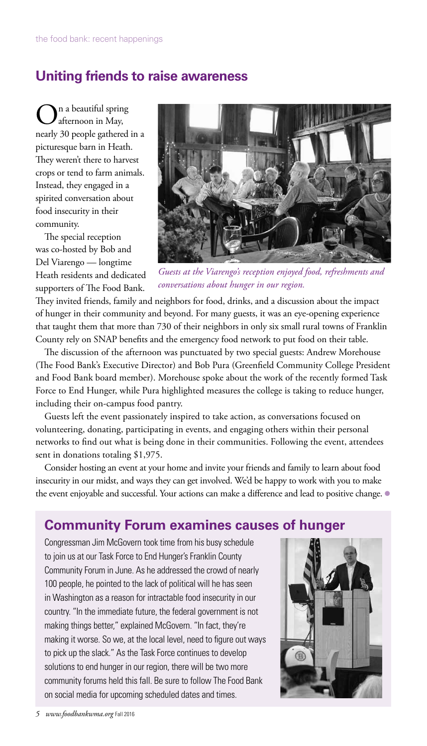# **Uniting friends to raise awareness**

n a beautiful spring afternoon in May, nearly 30 people gathered in a picturesque barn in Heath. They weren't there to harvest crops or tend to farm animals. Instead, they engaged in a spirited conversation about food insecurity in their community.

The special reception was co-hosted by Bob and Del Viarengo — longtime Heath residents and dedicated supporters of The Food Bank.



*Guests at the Viarengo's reception enjoyed food, refreshments and conversations about hunger in our region.* 

They invited friends, family and neighbors for food, drinks, and a discussion about the impact of hunger in their community and beyond. For many guests, it was an eye-opening experience that taught them that more than 730 of their neighbors in only six small rural towns of Franklin County rely on SNAP benefits and the emergency food network to put food on their table.

The discussion of the afternoon was punctuated by two special guests: Andrew Morehouse (The Food Bank's Executive Director) and Bob Pura (Greenfield Community College President and Food Bank board member). Morehouse spoke about the work of the recently formed Task Force to End Hunger, while Pura highlighted measures the college is taking to reduce hunger, including their on-campus food pantry.

Guests left the event passionately inspired to take action, as conversations focused on volunteering, donating, participating in events, and engaging others within their personal networks to find out what is being done in their communities. Following the event, attendees sent in donations totaling \$1,975.

Consider hosting an event at your home and invite your friends and family to learn about food insecurity in our midst, and ways they can get involved. We'd be happy to work with you to make the event enjoyable and successful. Your actions can make a difference and lead to positive change.  $\bullet$ 

# **Community Forum examines causes of hunger**

Congressman Jim McGovern took time from his busy schedule to join us at our Task Force to End Hunger's Franklin County Community Forum in June. As he addressed the crowd of nearly 100 people, he pointed to the lack of political will he has seen in Washington as a reason for intractable food insecurity in our country. "In the immediate future, the federal government is not making things better," explained McGovern. "In fact, they're making it worse. So we, at the local level, need to figure out ways to pick up the slack." As the Task Force continues to develop solutions to end hunger in our region, there will be two more community forums held this fall. Be sure to follow The Food Bank on social media for upcoming scheduled dates and times.